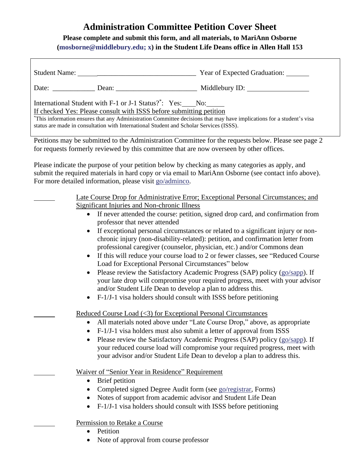## **Administration Committee Petition Cover Sheet**

## **Please complete and submit this form, and all materials, to MariAnn Osborne [\(mosborne@middlebury.edu;](mailto:mosborne@middlebury.edu) x) in the Student Life Deans office in Allen Hall 153**

| International Student with F-1 or J-1 Status? <sup>*</sup> : Yes: No:<br>If checked Yes: Please consult with ISSS before submitting petition<br>*This information ensures that any Administration Committee decisions that may have implications for a student's visa<br>status are made in consultation with International Student and Scholar Services (ISSS). |                                                     |                                                                                                                                                                                                                                                                                                                                                                                                                                                                                                                                                                                                                                                                                             |  |
|------------------------------------------------------------------------------------------------------------------------------------------------------------------------------------------------------------------------------------------------------------------------------------------------------------------------------------------------------------------|-----------------------------------------------------|---------------------------------------------------------------------------------------------------------------------------------------------------------------------------------------------------------------------------------------------------------------------------------------------------------------------------------------------------------------------------------------------------------------------------------------------------------------------------------------------------------------------------------------------------------------------------------------------------------------------------------------------------------------------------------------------|--|
| Petitions may be submitted to the Administration Committee for the requests below. Please see page 2<br>for requests formerly reviewed by this committee that are now overseen by other offices.                                                                                                                                                                 |                                                     |                                                                                                                                                                                                                                                                                                                                                                                                                                                                                                                                                                                                                                                                                             |  |
| Please indicate the purpose of your petition below by checking as many categories as apply, and<br>submit the required materials in hard copy or via email to MariAnn Osborne (see contact info above).<br>For more detailed information, please visit go/adminco.                                                                                               |                                                     |                                                                                                                                                                                                                                                                                                                                                                                                                                                                                                                                                                                                                                                                                             |  |
|                                                                                                                                                                                                                                                                                                                                                                  | <b>Significant Injuries and Non-chronic Illness</b> | Late Course Drop for Administrative Error; Exceptional Personal Circumstances; and                                                                                                                                                                                                                                                                                                                                                                                                                                                                                                                                                                                                          |  |
|                                                                                                                                                                                                                                                                                                                                                                  | professor that never attended                       | • If never attended the course: petition, signed drop card, and confirmation from                                                                                                                                                                                                                                                                                                                                                                                                                                                                                                                                                                                                           |  |
|                                                                                                                                                                                                                                                                                                                                                                  | $\bullet$<br>$\bullet$                              | If exceptional personal circumstances or related to a significant injury or non-<br>chronic injury (non-disability-related): petition, and confirmation letter from<br>professional caregiver (counselor, physician, etc.) and/or Commons dean<br>If this will reduce your course load to 2 or fewer classes, see "Reduced Course"<br>Load for Exceptional Personal Circumstances" below<br>Please review the Satisfactory Academic Progress (SAP) policy (go/sapp). If<br>your late drop will compromise your required progress, meet with your advisor<br>and/or Student Life Dean to develop a plan to address this.<br>F-1/J-1 visa holders should consult with ISSS before petitioning |  |
|                                                                                                                                                                                                                                                                                                                                                                  |                                                     |                                                                                                                                                                                                                                                                                                                                                                                                                                                                                                                                                                                                                                                                                             |  |

Reduced Course Load (<3) for Exceptional Personal Circumstances

- All materials noted above under "Late Course Drop," above, as appropriate
- F-1/J-1 visa holders must also submit a letter of approval from ISSS
- Please review the Satisfactory Academic Progress (SAP) policy [\(go/sapp\)](http://www.middlebury.edu/about/handbook/ug-college-policies/ug-policies/academics/satis-acad-prog). If your reduced course load will compromise your required progress, meet with your advisor and/or Student Life Dean to develop a plan to address this.

Waiver of "Senior Year in Residence" Requirement

- Brief petition
- Completed signed Degree Audit form (see [go/registrar,](http://www.middlebury.edu/offices/academic/records/Forms/stuforms) Forms)
- Notes of support from academic advisor and Student Life Dean
- F-1/J-1 visa holders should consult with ISSS before petitioning

Permission to Retake a Course

- Petition
- Note of approval from course professor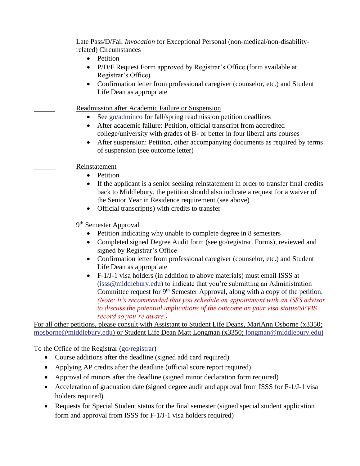| Late Pass/D/Fail <i>Invocation</i> for Exceptional Personal (non-medical/non-disability-   |  |
|--------------------------------------------------------------------------------------------|--|
| related) Circumstances                                                                     |  |
| Petition<br>$\bullet$                                                                      |  |
| P/D/F Request Form approved by Registrar's Office (form available at<br>$\bullet$          |  |
| Registrar's Office)                                                                        |  |
| Confirmation letter from professional caregiver (counselor, etc.) and Student<br>$\bullet$ |  |
| Life Dean as appropriate                                                                   |  |
| Readmission after Academic Failure or Suspension                                           |  |
| See go/adminco for fall/spring readmission petition deadlines                              |  |
| After academic failure: Petition, official transcript from accredited<br>$\bullet$         |  |
| college/university with grades of B- or better in four liberal arts courses                |  |
| After suspension: Petition, other accompanying documents as required by terms              |  |
| of suspension (see outcome letter)                                                         |  |
| Reinstatement                                                                              |  |
| Petition<br>$\bullet$                                                                      |  |
| If the applicant is a senior seeking reinstatement in order to transfer final credits      |  |
| back to Middlebury, the petition should also indicate a request for a waiver of            |  |
| the Senior Year in Residence requirement (see above)                                       |  |
| Official transcript(s) with credits to transfer<br>$\bullet$                               |  |
| 9 <sup>th</sup> Semester Approval                                                          |  |
| Petition indicating why unable to complete degree in 8 semesters                           |  |
| Completed signed Degree Audit form (see go/registrar. Forms), reviewed and<br>$\bullet$    |  |
| signed by Registrar's Office                                                               |  |
| Confirmation letter from professional caregiver (counselor, etc.) and Student<br>$\bullet$ |  |
| Life Dean as appropriate                                                                   |  |
| F-1/J-1 visa holders (in addition to above materials) must email ISSS at<br>$\bullet$      |  |
| (isss@middlebury.edu) to indicate that you're submitting an Administration                 |  |
|                                                                                            |  |

Committee request for 9<sup>th</sup> Semester Approval, along with a copy of the petition. *(Note: It's recommended that you schedule an appointment with an ISSS advisor to discuss the potential implications of the outcome on your visa status/SEVIS record so you're aware.)*

For all other petitions, please consult with Assistant to Student Life Deans, MariAnn Osborne (x3350; [mosborne@middlebury.edu\)](mailto:mosborne@middlebury.edu) or Student Life Dean Matt Longman (x3350; [longman@middlebury.edu\)](mailto:longman@middlebury.edu)

To the Office of the Registrar [\(go/registrar\)](http://www.middlebury.edu/offices/academic/records)

- Course additions after the deadline (signed add card required)
- Applying AP credits after the deadline (official score report required)
- Approval of minors after the deadline (signed minor declaration form required)
- Acceleration of graduation date (signed degree audit and approval from ISSS for F-1/J-1 visa holders required)
- Requests for Special Student status for the final semester (signed special student application form and approval from ISSS for F-1/J-1 visa holders required)